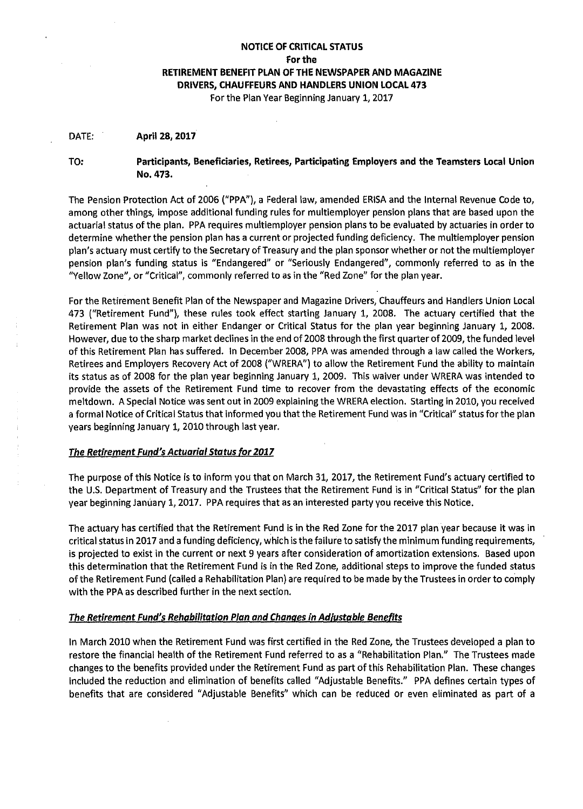# **NOTICE OF CRITICAL STATUS For the RETIREMENT BENEFIT PLAN OF THE NEWSPAPER AND MAGAZINE DRIVERS, CHAUFFEURS AND HANDLERS UNION LOCAL 473**

For the Plan Year Beginning January 1, 2017

#### DATE: **April 28, 2017**

TO:

#### **Participants, Beneficiaries, Retirees, Participating Employers and the Teamsters Local Union No.473.**

The Pension Protection Act of 2006 ("PPA"), a Federal law, amended ERISA and the Internal Revenue Code to, among other things, impose additional funding rules for multiemployer pension plans that are based upon the actuarial status of the plan. PPA requires multiemployer pension plans to be evaluated by actuaries in order to determine whether the pension plan has a current or projected funding deficiency. The multiemployer pension plan's actuary must certify to the Secretary of Treasury and the plan sponsor whether or not the multiemployer pension plan's funding status is "Endangered" or "Seriously Endangered", commonly referred to as in the "Yellow Zone", or "Critical", commonly referred to as in the "Red Zone" for the plan year.

For the Retirement Benefit Plan of the Newspaper and Magazine Drivers, Chauffeurs and Handlers Union Local 473 ("Retirement Fund"), these rules took effect starting January 1, 2008. The actuary certified that the Retirement Plan was not in either Endanger or Critical Status for the plan year beginning January 1, 2008. However, due to the sharp market declines in the end of 2008 through the first quarter of 2009, the funded level of this Retirement Plan has suffered. In December 2008, PPA was amended through a law called the Workers, Retirees and Employers Recovery Act of 2008 ("WRERA") to allow the Retirement Fund the ability to maintain its status as of 2008 for the plan year beginning January 1, 2009. This waiver under WRERA was intended to provide the assets of the Retirement Fund time to recover from the devastating effects of the economic meltdown. A Special Notice was sent out in 2009 explaining the WRERA election. Starting in 2010, you received a formal Notice of Critical Status that informed you that the Retirement Fund was in "Critical" status for the plan years beginning January 1, 2010 through last year.

### *The Retirement Fund's Actuarial Status for 2017*

The purpose of this Notice is to inform you that on March 31, 2017, the Retirement Fund's actuary certified to the U.S. Department of Treasury and the Trustees that the Retirement Fund is in "Critical Status" for the plan year beginning January 1, 2017. PPA requires that as an interested party you receive this Notice.

The actuary has certified that the Retirement Fund is in the Red Zone for the 2017 plan year because it was in critical status in 2017 and a funding deficiency, which is the failure to satisfy the minimum funding requirements, is projected to exist in the current or next 9 years after consideration of amortization extensions. Based upon this determination that the Retirement Fund is in the Red Zone, additional steps to improve the funded status of the Retirement Fund (called a Rehabilitation Plan) are required to be made by the Trustees in order to comply with the PPA as described further in the next section.

### *The Retirement Fund's Rehabilitation Plan and Changes in Adjustable Benefits*

In March 2010 when the Retirement Fund was first certified in the Red Zone, the Trustees developed a plan to restore the financial health of the Retirement Fund referred to as a "Rehabilitation Plan." The Trustees made changes to the benefits provided under the Retirement Fund as part of this Rehabilitation Plan. These changes included the reduction and elimination of benefits called "Adjustable Benefits." PPA defines certain types of benefits that are considered "Adjustable Benefits" which can be reduced or even eliminated as part of a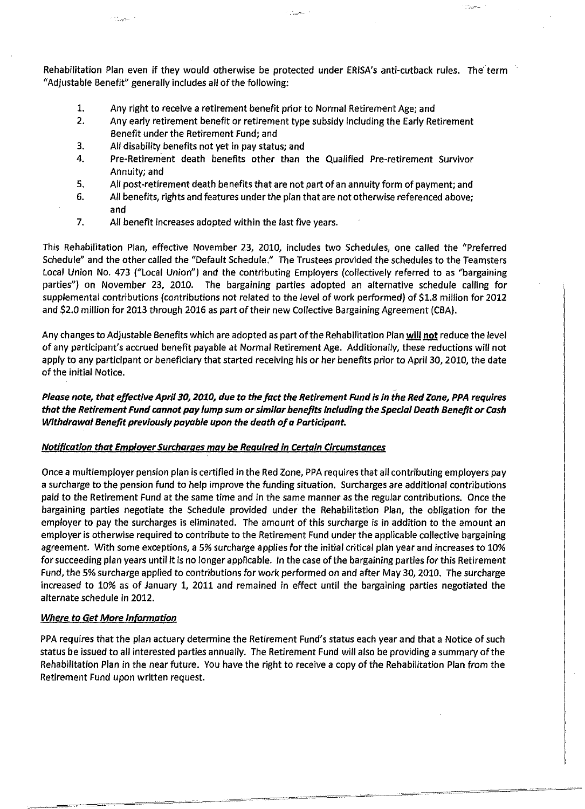Rehabilitation Plan even if they would otherwise be protected under ERISA's anti-cutback rules. The' term "Adjustable Benefit" generally includes all of the following:

**Country** 

- 1. Any right to receive a retirement benefit prior to Normal Retirement Age; and
- 2. Any early retirement benefit or retirement type subsidy including the Early Retirement Benefit under the Retirement Fund; and
- 3. All disability benefits not yet in pay status; and

a ya jina ku

- 4. Pre-Retirement death benefits other than the Qualified Pre-retirement Survivor Annuity; and
- 5. All post-retirement death benefits that are not part of an annuity form of payment; and
- 6. All benefits, rights and features under the plan that are not otherwise referenced above; and
- 7. All benefit increases adopted within the last five years.

This Rehabilitation Plan, effective November 23, 2010, includes two Schedules, one called the "Preferred Schedule" and the other called the "Default Schedule." The Trustees provided the schedules to the Teamsters Local Union No. 473 ("Local Union") and the contributing Employers (collectively referred to as "bargaining parties") on November 23, 2010. The bargaining parties adopted an alternative schedule calling for supplemental contributions (contributions not related to the level of work performed) of \$1.8 million for 2012 and \$2.0 million for 2013 through 2016 as part of their new Collective Bargaining Agreement (CBA).

Any changes to Adjustable Benefits which are adopted as part of the Rehabilitation Plan **will not** reduce the level of any participant's accrued benefit payable at Normal Retirement Age. Additionally, these reductions will not apply to any participant or beneficiary that started receiving his or her benefits prior to April 30, 2010, the date of the initial Notice.

## **Please note, that effective April 30, 2010, due to the** *fact* **the Retirement Fund is in the Red Zone, PPA requires that the Retirement Fund cannot pay lump sum or similar benefits including the Special Death Benefit or Cash Withdrawal Benefit previously payable upon the death of a Participant.**

### **Notification that Employer Surcharges mav be Required in Certain Circumstances**

Once a multiemployer pension plan is certified in the Red Zone, PPA requires that all contributing employers pay a surcharge to the pension fund to help improve the funding situation. Surcharges are additional contributions paid to the Retirement Fund at the same time and in the same manner as the regular contributions. Once the bargaining parties negotiate the Schedule provided under the Rehabilitation Plan, the obligation for the employer to pay the surcharges is eliminated. The amount of this surcharge is in addition to the amount an employer is otherwise required to contribute to the Retirement Fund under the applicable collective bargaining agreement. With some exceptions, a 5% surcharge applies for the initial critical plan year and increases to 10% for succeeding plan years until it is no longer applicable. In the case of the bargaining parties for this Retirement Fund, the 5% surcharge applied to contributions for work performed on and after May 30, 2010. The surcharge increased to 10% as of January 1, 2011 and remained in effect until the bargaining parties negotiated the alternate schedule in 2012.

### **Where to Get More Information**

PPA requires that the plan actuary determine the Retirement Fund's status each year and that a Notice of such status be issued to all interested parties annually. The Retirement Fund will also be providing a summary of the Rehabilitation Plan in the near future. You have the right to receive a copy of the Rehabilitation Plan from the Retirement Fund upon written request.